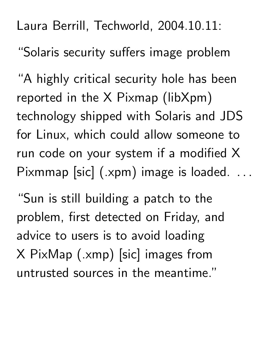Laura Berrill, Techworld, 2004.10.11: "Solaris security suffers image problem

"A highly critical security hole has been reported in the X Pixmap (libXpm) technology shipped with Solaris and JDS for Linux, which could allow someone to run code on your system if a modified X Pixmmap [sic] (.xpm) image is loaded. ..

the contract of the contract of the contract of the contract of the contract of the contract of

"Sun is still building a patch to the problem, first detected on Friday, and advice to users is to avoid loading X PixMap (.xmp) [sic] images from untrusted sources in the meantime."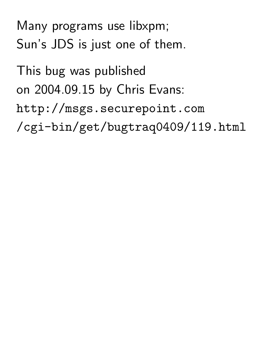Many programs use libxpm; Sun's JDS is just one of them.

This bug was published on 2004.09.15 by Chris Evans: http://msgs.securepoint.com /cgi-bin/get/bugtraq0409/119.html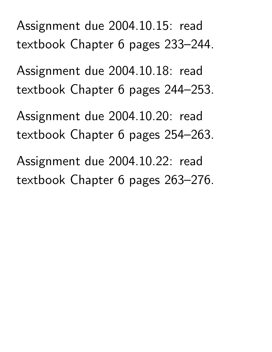Assignment due 2004.10.15: read textbook Chapter 6 pages 233–244.

Assignment due 2004.10.18: read textbook Chapter 6 pages 244–253.

Assignment due 2004.10.20: read textbook Chapter 6 pages 254–263.

Assignment due 2004.10.22: read textbook Chapter 6 pages 263–276.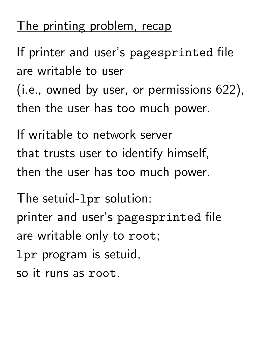#### The printing problem, recap

If printer and user's pagesprinted file are writable to user (i.e., owned by user, or permissions 622), then the user has too much power.

If writable to network server that trusts user to identify himself, then the user has too much power.

The setuid-lpr solution: printer and user's pagesprinted file are writable only to root; lpr program is setuid, so it runs as root.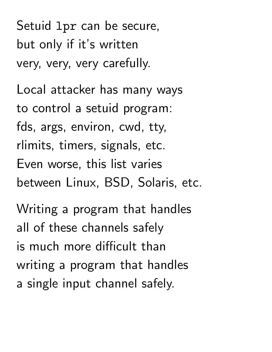Setuid lpr can be secure, but only if it's written very, very, very carefully.

Local attacker has many ways to control a setuid program: fds, args, environ, cwd, tty, rlimits, timers, signals, etc. Even worse, this list varies between Linux, BSD, Solaris, etc.

Writing a program that handles all of these channels safely is much more difficult than writing a program that handles a single input channel safely.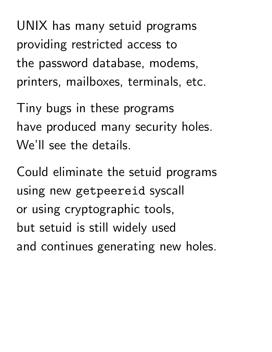UNIX has many setuid programs providing restricted access to the password database, modems, printers, mailboxes, terminals, etc.

Tiny bugs in these programs have produced many security holes. We'll see the details.

Could eliminate the setuid programs using new getpeereid syscall or using cryptographic tools, but setuid is still widely used and continues generating new holes.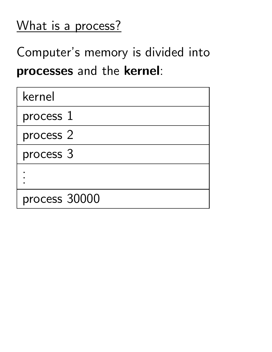# What is a process?

Computer's memory is divided into processes and the kernel:

| kernel        |  |
|---------------|--|
| process 1     |  |
| process 2     |  |
| process 3     |  |
|               |  |
| process 30000 |  |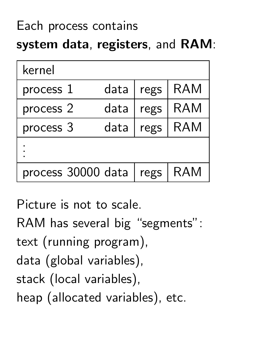# Each process contains system data, registers, and RAM:

| kernel             |      |      |            |
|--------------------|------|------|------------|
| process $1$        | data | regs | <b>RAM</b> |
| process 2          | data | regs | <b>RAM</b> |
| process 3          | data | regs | RAM        |
|                    |      |      |            |
| process 30000 data |      | regs | RAM        |

Picture is not to scale. RAM has several big "segments": text (running program), data (global variables), stack (local variables), heap (allocated variables), etc.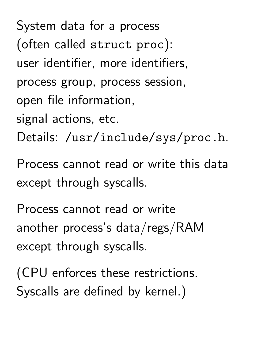System data for a process (often called struct proc): user identifier, more identifiers, process group, process session, open file information, signal actions, etc. Details: /usr/include/sys/proc.h.

Process cannot read or write this data except through syscalls.

Process cannot read or write another process's data/regs/RAM except through syscalls.

(CPU enforces these restrictions. Syscalls are defined by kernel.)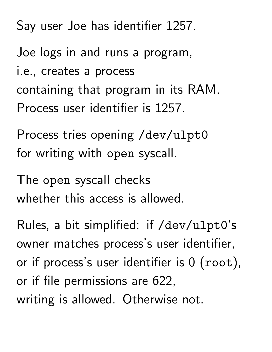Say user Joe has identifier 1257.

Joe logs in and runs a program, i.e., creates a process containing that program in its RAM. Process user identifier is 1257.

Process tries opening /dev/ulpt0 for writing with open syscall.

The open syscall checks whether this access is allowed.

Rules, a bit simplified: if /dev/ulpt0's owner matches process's user identifier, or if process's user identifier is 0 (root), or if file permissions are 622, writing is allowed. Otherwise not.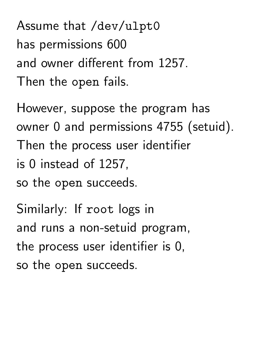Assume that /dev/ulpt0 has permissions 600 and owner different from 1257. Then the open fails.

However, suppose the program has owner 0 and permissions 4755 (setuid). Then the process user identifier is 0 instead of 1257, so the open succeeds.

Similarly: If root logs in and runs a non-setuid program, the process user identifier is 0, so the open succeeds.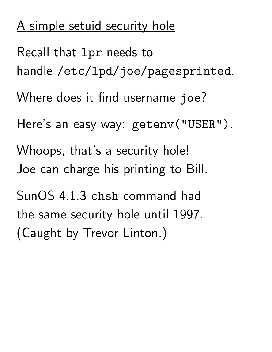# A simple setuid security hole

Recall that lpr needs to handle /etc/lpd/joe/pagesprinted. Where does it find username joe? Here's an easy way: getenv("USER"). Whoops, that's a security hole! Joe can charge his printing to Bill. SunOS 4.1.3 chsh command had the same security hole until 1997. (Caught by Trevor Linton.)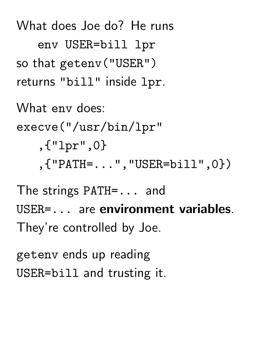What does Joe do? He runs env USER=bill lpr so that getenv("USER") returns "bill" inside lpr.

What env does: execve("/usr/bin/lpr" ,{"lpr",0} ,{"PATH=...","USER=bill",0})

The strings PATH=... and USER=... are environment variables. They're controlled by Joe.

getenv ends up reading USER=bill and trusting it.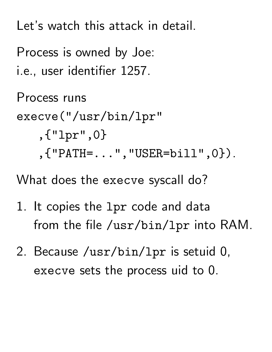Let's watch this attack in detail.

Process is owned by Joe: i.e., user identifier 1257.

Process runs execve("/usr/bin/lpr" ,{"lpr",0} ,{"PATH=...","USER=bill",0}).

What does the execve syscall do?

- 1. It copies the lpr code and data from the file /usr/bin/lpr into RAM.
- 2. Because /usr/bin/lpr is setuid 0, execve sets the process uid to 0.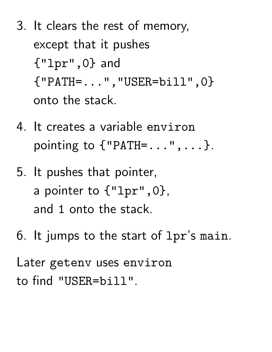- 3. It clears the rest of memory, except that it pushes {"lpr",0} and {"PATH=...","USER=bill",0} onto the stack.
- 4. It creates a variable environ pointing to  ${^{\{\text{''}}\text{PATH}=\dots\text{''}, \dots\}}$ .
- 5. It pushes that pointer, a pointer to {"lpr",0}, and 1 onto the stack.
- 6. It jumps to the start of lpr's main.

Later getenv uses environ to find "USER=bill".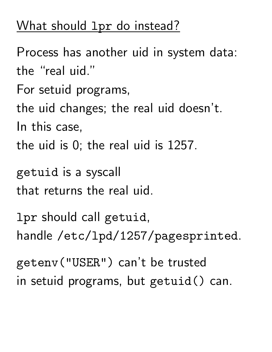### What should 1pr do instead?

Process has another uid in system data: the "real uid." For setuid programs, the uid changes; the real uid doesn't. In this case, the uid is 0; the real uid is 1257. getuid is a syscall

that returns the real uid.

lpr should call getuid, handle /etc/lpd/1257/pagesprinted.

getenv("USER") can't be trusted in setuid programs, but getuid() can.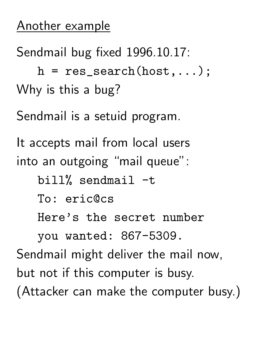### Another example

Sendmail bug fixed 1996.10.17:

 $h = res\_search(host, \ldots);$ Why is this a bug?

Sendmail is a setuid program.

It accepts mail from local users into an outgoing "mail queue":

bill% sendmail -t

To: eric@cs

Here's the secret number

you wanted: 867-5309.

Sendmail might deliver the mail now, but not if this computer is busy. (Attacker can make the computer busy.)